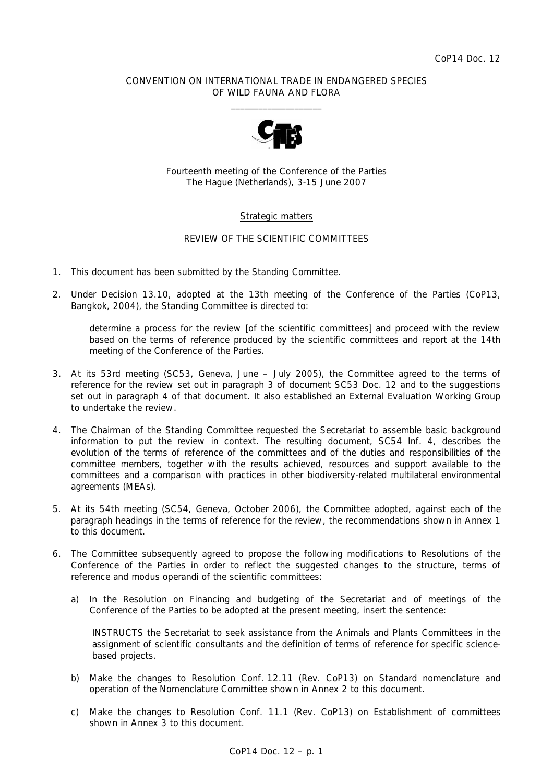# CONVENTION ON INTERNATIONAL TRADE IN ENDANGERED SPECIES OF WILD FAUNA AND FLORA  $\overline{\phantom{a}}$  , and the set of the set of the set of the set of the set of the set of the set of the set of the set of the set of the set of the set of the set of the set of the set of the set of the set of the set of the s



Fourteenth meeting of the Conference of the Parties The Hague (Netherlands), 3-15 June 2007

# Strategic matters

# REVIEW OF THE SCIENTIFIC COMMITTEES

- 1. This document has been submitted by the Standing Committee.
- 2. Under Decision 13.10, adopted at the 13th meeting of the Conference of the Parties (CoP13, Bangkok, 2004), the Standing Committee is directed to:

 *determine a process for the review* [of the scientific committees] *and proceed with the review based on the terms of reference produced by the scientific committees and report at the 14th meeting of the Conference of the Parties.* 

- 3. At its 53rd meeting (SC53, Geneva, June July 2005), the Committee agreed to the terms of reference for the review set out in paragraph 3 of document SC53 Doc. 12 and to the suggestions set out in paragraph 4 of that document. It also established an External Evaluation Working Group to undertake the review.
- 4. The Chairman of the Standing Committee requested the Secretariat to assemble basic background information to put the review in context. The resulting document, SC54 Inf. 4, describes the evolution of the terms of reference of the committees and of the duties and responsibilities of the committee members, together with the results achieved, resources and support available to the committees and a comparison with practices in other biodiversity-related multilateral environmental agreements (MEAs).
- 5. At its 54th meeting (SC54, Geneva, October 2006), the Committee adopted, against each of the paragraph headings in the terms of reference for the review, the recommendations shown in Annex 1 to this document.
- 6. The Committee subsequently agreed to propose the following modifications to Resolutions of the Conference of the Parties in order to reflect the suggested changes to the structure, terms of reference and *modus operandi* of the scientific committees:
	- a) In the Resolution on Financing and budgeting of the Secretariat and of meetings of the Conference of the Parties to be adopted at the present meeting, insert the sentence:

INSTRUCTS the Secretariat to seek assistance from the Animals and Plants Committees in the assignment of scientific consultants and the definition of terms of reference for specific sciencebased projects.

- b) Make the changes to Resolution Conf. 12.11 (Rev. CoP13) on Standard nomenclature and operation of the Nomenclature Committee shown in Annex 2 to this document.
- c) Make the changes to Resolution Conf. 11.1 (Rev. CoP13) on Establishment of committees shown in Annex 3 to this document.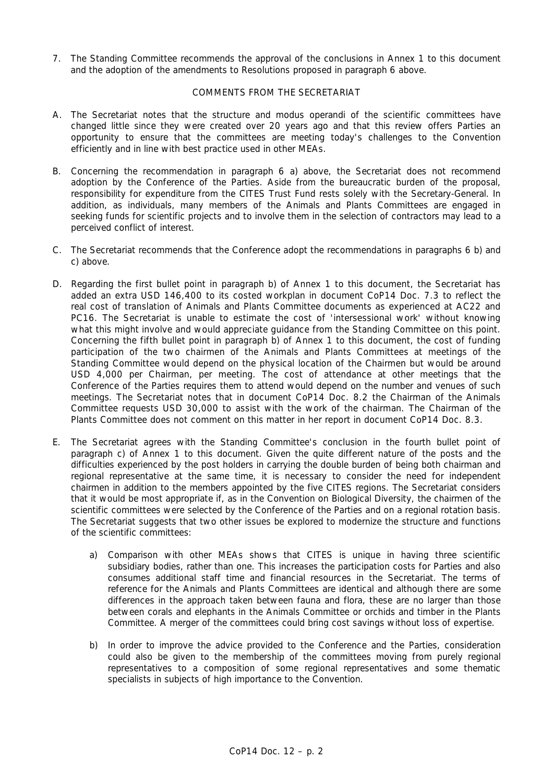7. The Standing Committee recommends the approval of the conclusions in Annex 1 to this document and the adoption of the amendments to Resolutions proposed in paragraph 6 above.

# COMMENTS FROM THE SECRETARIAT

- A. The Secretariat notes that the structure and *modus operandi* of the scientific committees have changed little since they were created over 20 years ago and that this review offers Parties an opportunity to ensure that the committees are meeting today's challenges to the Convention efficiently and in line with best practice used in other MEAs.
- B. Concerning the recommendation in paragraph 6 a) above, the Secretariat does not recommend adoption by the Conference of the Parties. Aside from the bureaucratic burden of the proposal, responsibility for expenditure from the CITES Trust Fund rests solely with the Secretary-General. In addition, as individuals, many members of the Animals and Plants Committees are engaged in seeking funds for scientific projects and to involve them in the selection of contractors may lead to a perceived conflict of interest.
- C. The Secretariat recommends that the Conference adopt the recommendations in paragraphs 6 b) and c) above.
- D. Regarding the first bullet point in paragraph b) of Annex 1 to this document, the Secretariat has added an extra USD 146,400 to its costed workplan in document CoP14 Doc. 7.3 to reflect the real cost of translation of Animals and Plants Committee documents as experienced at AC22 and PC16. The Secretariat is unable to estimate the cost of 'intersessional work' without knowing what this might involve and would appreciate guidance from the Standing Committee on this point. Concerning the fifth bullet point in paragraph b) of Annex 1 to this document, the cost of funding participation of the two chairmen of the Animals and Plants Committees at meetings of the Standing Committee would depend on the physical location of the Chairmen but would be around USD 4,000 per Chairman, per meeting. The cost of attendance at other meetings that the Conference of the Parties requires them to attend would depend on the number and venues of such meetings. The Secretariat notes that in document CoP14 Doc. 8.2 the Chairman of the Animals Committee requests USD 30,000 to assist with the work of the chairman. The Chairman of the Plants Committee does not comment on this matter in her report in document CoP14 Doc. 8.3.
- E. The Secretariat agrees with the Standing Committee's conclusion in the fourth bullet point of paragraph c) of Annex 1 to this document. Given the quite different nature of the posts and the difficulties experienced by the post holders in carrying the double burden of being both chairman and regional representative at the same time, it is necessary to consider the need for independent chairmen in addition to the members appointed by the five CITES regions. The Secretariat considers that it would be most appropriate if, as in the Convention on Biological Diversity, the chairmen of the scientific committees were selected by the Conference of the Parties and on a regional rotation basis. The Secretariat suggests that two other issues be explored to modernize the structure and functions of the scientific committees:
	- a) Comparison with other MEAs shows that CITES is unique in having three scientific subsidiary bodies, rather than one. This increases the participation costs for Parties and also consumes additional staff time and financial resources in the Secretariat. The terms of reference for the Animals and Plants Committees are identical and although there are some differences in the approach taken between fauna and flora, these are no larger than those between corals and elephants in the Animals Committee or orchids and timber in the Plants Committee. A merger of the committees could bring cost savings without loss of expertise.
	- b) In order to improve the advice provided to the Conference and the Parties, consideration could also be given to the membership of the committees moving from purely regional representatives to a composition of some regional representatives and some thematic specialists in subjects of high importance to the Convention.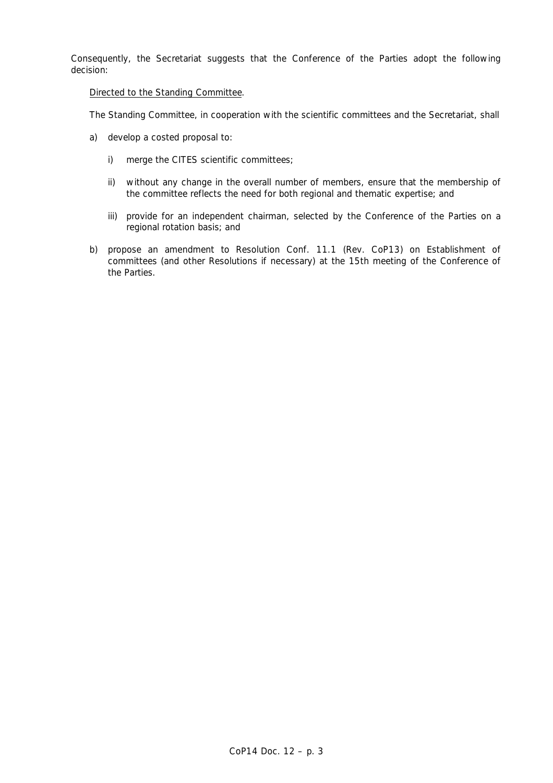Consequently, the Secretariat suggests that the Conference of the Parties adopt the following decision:

# Directed to the Standing Committee.

The Standing Committee, in cooperation with the scientific committees and the Secretariat, shall

- a) develop a costed proposal to:
	- i) merge the CITES scientific committees;
	- ii) without any change in the overall number of members, ensure that the membership of the committee reflects the need for both regional and thematic expertise; and
	- iii) provide for an independent chairman, selected by the Conference of the Parties on a regional rotation basis; and
- b) propose an amendment to Resolution Conf. 11.1 (Rev. CoP13) on Establishment of committees (and other Resolutions if necessary) at the 15th meeting of the Conference of the Parties.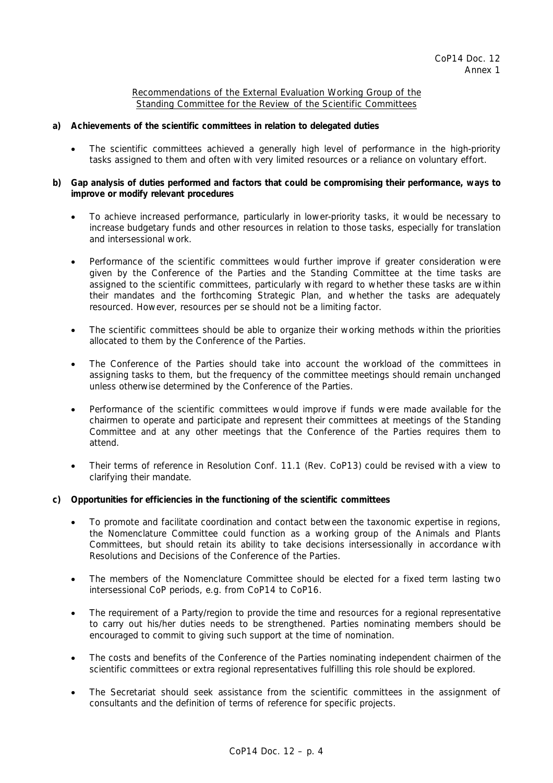# Recommendations of the External Evaluation Working Group of the Standing Committee for the Review of the Scientific Committees

# **a) Achievements of the scientific committees in relation to delegated duties**

The scientific committees achieved a generally high level of performance in the high-priority tasks assigned to them and often with very limited resources or a reliance on voluntary effort.

### **b) Gap analysis of duties performed and factors that could be compromising their performance, ways to improve or modify relevant procedures**

- To achieve increased performance, particularly in lower-priority tasks, it would be necessary to increase budgetary funds and other resources in relation to those tasks, especially for translation and intersessional work.
- Performance of the scientific committees would further improve if greater consideration were given by the Conference of the Parties and the Standing Committee at the time tasks are assigned to the scientific committees, particularly with regard to whether these tasks are within their mandates and the forthcoming Strategic Plan, and whether the tasks are adequately resourced. However, resources *per se* should not be a limiting factor.
- The scientific committees should be able to organize their working methods within the priorities allocated to them by the Conference of the Parties.
- The Conference of the Parties should take into account the workload of the committees in assigning tasks to them, but the frequency of the committee meetings should remain unchanged unless otherwise determined by the Conference of the Parties.
- Performance of the scientific committees would improve if funds were made available for the chairmen to operate and participate and represent their committees at meetings of the Standing Committee and at any other meetings that the Conference of the Parties requires them to attend.
- Their terms of reference in Resolution Conf. 11.1 (Rev. CoP13) could be revised with a view to clarifying their mandate.

#### **c) Opportunities for efficiencies in the functioning of the scientific committees**

- To promote and facilitate coordination and contact between the taxonomic expertise in regions, the Nomenclature Committee could function as a working group of the Animals and Plants Committees, but should retain its ability to take decisions intersessionally in accordance with Resolutions and Decisions of the Conference of the Parties.
- The members of the Nomenclature Committee should be elected for a fixed term lasting two intersessional CoP periods, e.g. from CoP14 to CoP16.
- The requirement of a Party/region to provide the time and resources for a regional representative to carry out his/her duties needs to be strengthened. Parties nominating members should be encouraged to commit to giving such support at the time of nomination.
- The costs and benefits of the Conference of the Parties nominating independent chairmen of the scientific committees or extra regional representatives fulfilling this role should be explored.
- The Secretariat should seek assistance from the scientific committees in the assignment of consultants and the definition of terms of reference for specific projects.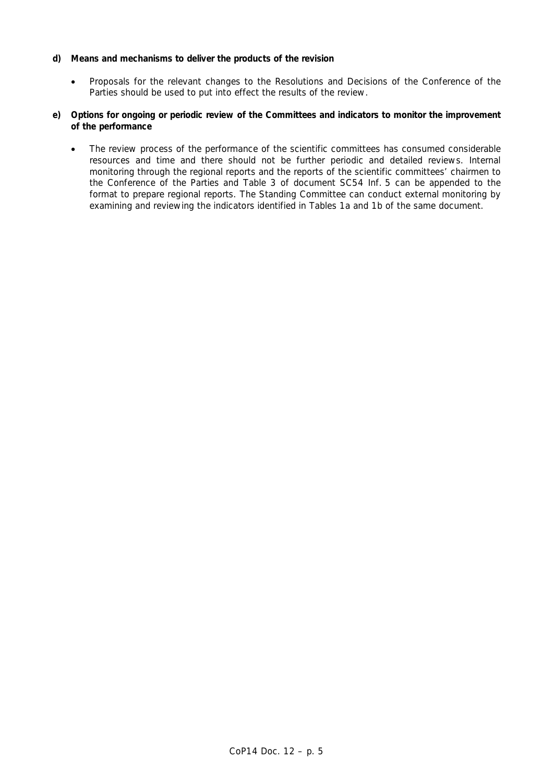# **d) Means and mechanisms to deliver the products of the revision**

- Proposals for the relevant changes to the Resolutions and Decisions of the Conference of the Parties should be used to put into effect the results of the review.
- **e) Options for ongoing or periodic review of the Committees and indicators to monitor the improvement of the performance** 
	- The review process of the performance of the scientific committees has consumed considerable resources and time and there should not be further periodic and detailed reviews. Internal monitoring through the regional reports and the reports of the scientific committees' chairmen to the Conference of the Parties and Table 3 of document SC54 Inf. 5 can be appended to the format to prepare regional reports. The Standing Committee can conduct external monitoring by examining and reviewing the indicators identified in Tables 1a and 1b of the same document.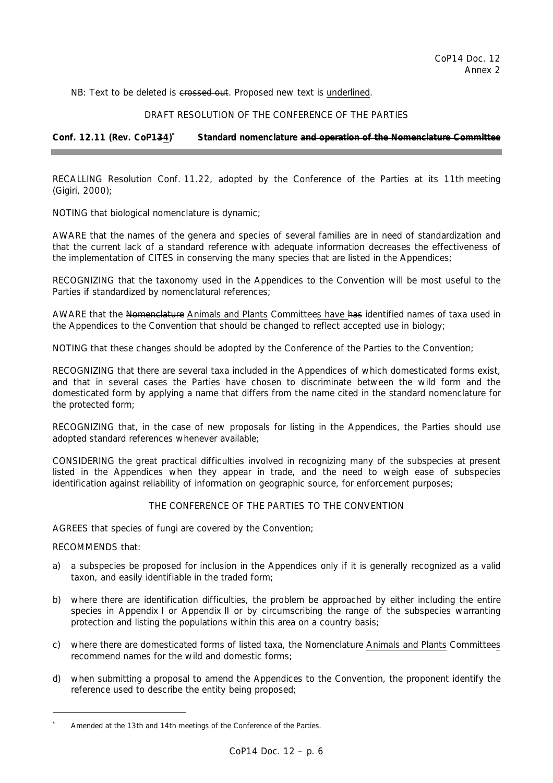NB: Text to be deleted is crossed out. Proposed new text is underlined.

# DRAFT RESOLUTION OF THE CONFERENCE OF THE PARTIES

**Conf. 12.11 (Rev. CoP134) \* Standard nomenclature and operation of the Nomenclature Committee**

RECALLING Resolution Conf. 11.22, adopted by the Conference of the Parties at its 11th meeting (Gigiri, 2000);

NOTING that biological nomenclature is dynamic;

AWARE that the names of the genera and species of several families are in need of standardization and that the current lack of a standard reference with adequate information decreases the effectiveness of the implementation of CITES in conserving the many species that are listed in the Appendices;

RECOGNIZING that the taxonomy used in the Appendices to the Convention will be most useful to the Parties if standardized by nomenclatural references;

AWARE that the Nomenclature Animals and Plants Committees have has identified names of taxa used in the Appendices to the Convention that should be changed to reflect accepted use in biology;

NOTING that these changes should be adopted by the Conference of the Parties to the Convention;

RECOGNIZING that there are several taxa included in the Appendices of which domesticated forms exist, and that in several cases the Parties have chosen to discriminate between the wild form and the domesticated form by applying a name that differs from the name cited in the standard nomenclature for the protected form;

RECOGNIZING that, in the case of new proposals for listing in the Appendices, the Parties should use adopted standard references whenever available;

CONSIDERING the great practical difficulties involved in recognizing many of the subspecies at present listed in the Appendices when they appear in trade, and the need to weigh ease of subspecies identification against reliability of information on geographic source, for enforcement purposes;

# THE CONFERENCE OF THE PARTIES TO THE CONVENTION

AGREES that species of fungi are covered by the Convention;

RECOMMENDS that:

l

- a) a subspecies be proposed for inclusion in the Appendices only if it is generally recognized as a valid taxon, and easily identifiable in the traded form;
- b) where there are identification difficulties, the problem be approached by either including the entire species in Appendix I or Appendix II or by circumscribing the range of the subspecies warranting protection and listing the populations within this area on a country basis;
- c) where there are domesticated forms of listed taxa, the Nomenclature Animals and Plants Committees recommend names for the wild and domestic forms;
- d) when submitting a proposal to amend the Appendices to the Convention, the proponent identify the reference used to describe the entity being proposed;

*<sup>\*</sup> Amended at the 13th and 14th meetings of the Conference of the Parties.*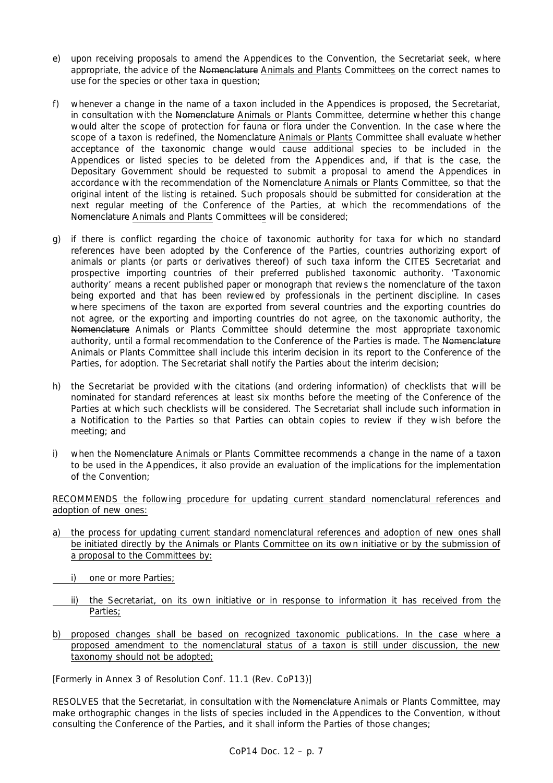- e) upon receiving proposals to amend the Appendices to the Convention, the Secretariat seek, where appropriate, the advice of the Nomenclature Animals and Plants Committees on the correct names to use for the species or other taxa in question;
- f) whenever a change in the name of a taxon included in the Appendices is proposed, the Secretariat, in consultation with the Nomenclature Animals or Plants Committee, determine whether this change would alter the scope of protection for fauna or flora under the Convention. In the case where the scope of a taxon is redefined, the Nomenclature Animals or Plants Committee shall evaluate whether acceptance of the taxonomic change would cause additional species to be included in the Appendices or listed species to be deleted from the Appendices and, if that is the case, the Depositary Government should be requested to submit a proposal to amend the Appendices in accordance with the recommendation of the Nomenclature Animals or Plants Committee, so that the original intent of the listing is retained. Such proposals should be submitted for consideration at the next regular meeting of the Conference of the Parties, at which the recommendations of the Nomenclature Animals and Plants Committees will be considered;
- g) if there is conflict regarding the choice of taxonomic authority for taxa for which no standard references have been adopted by the Conference of the Parties, countries authorizing export of animals or plants (or parts or derivatives thereof) of such taxa inform the CITES Secretariat and prospective importing countries of their preferred published taxonomic authority. 'Taxonomic authority' means a recent published paper or monograph that reviews the nomenclature of the taxon being exported and that has been reviewed by professionals in the pertinent discipline. In cases where specimens of the taxon are exported from several countries and the exporting countries do not agree, or the exporting and importing countries do not agree, on the taxonomic authority, the Nomenclature Animals or Plants Committee should determine the most appropriate taxonomic authority, until a formal recommendation to the Conference of the Parties is made. The Nomenclature Animals or Plants Committee shall include this interim decision in its report to the Conference of the Parties, for adoption. The Secretariat shall notify the Parties about the interim decision;
- h) the Secretariat be provided with the citations (and ordering information) of checklists that will be nominated for standard references at least six months before the meeting of the Conference of the Parties at which such checklists will be considered. The Secretariat shall include such information in a Notification to the Parties so that Parties can obtain copies to review if they wish before the meeting; and
- i) when the Nomenclature Animals or Plants Committee recommends a change in the name of a taxon to be used in the Appendices, it also provide an evaluation of the implications for the implementation of the Convention;

RECOMMENDS the following procedure for updating current standard nomenclatural references and adoption of new ones:

- a) the process for updating current standard nomenclatural references and adoption of new ones shall be initiated directly by the Animals or Plants Committee on its own initiative or by the submission of a proposal to the Committees by:
- i) one or more Parties;
	- ii) the Secretariat, on its own initiative or in response to information it has received from the Parties;
- b) proposed changes shall be based on recognized taxonomic publications. In the case where a proposed amendment to the nomenclatural status of a taxon is still under discussion, the new taxonomy should not be adopted;

*[Formerly in Annex 3 of Resolution Conf. 11.1 (Rev. CoP13)]* 

RESOLVES that the Secretariat, in consultation with the Nomenclature Animals or Plants Committee, may make orthographic changes in the lists of species included in the Appendices to the Convention, without consulting the Conference of the Parties, and it shall inform the Parties of those changes;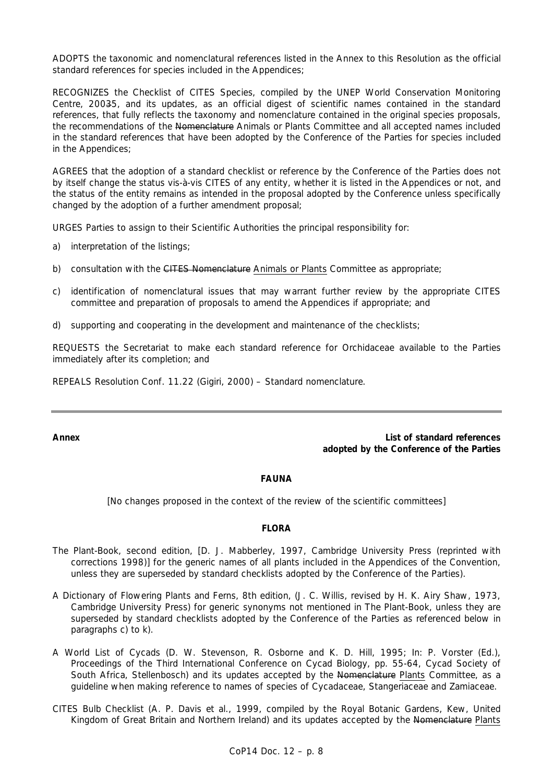ADOPTS the taxonomic and nomenclatural references listed in the Annex to this Resolution as the official standard references for species included in the Appendices;

RECOGNIZES the *Checklist of CITES Species*, compiled by the UNEP World Conservation Monitoring Centre, 20035, and its updates, as an official digest of scientific names contained in the standard references, that fully reflects the taxonomy and nomenclature contained in the original species proposals, the recommendations of the Nomenclature Animals or Plants Committee and all accepted names included in the standard references that have been adopted by the Conference of the Parties for species included in the Appendices;

AGREES that the adoption of a standard checklist or reference by the Conference of the Parties does not by itself change the status vis-à-vis CITES of any entity, whether it is listed in the Appendices or not, and the status of the entity remains as intended in the proposal adopted by the Conference unless specifically changed by the adoption of a further amendment proposal;

URGES Parties to assign to their Scientific Authorities the principal responsibility for:

- a) interpretation of the listings;
- b) consultation with the CITES Nomenclature Animals or Plants Committee as appropriate;
- c) identification of nomenclatural issues that may warrant further review by the appropriate CITES committee and preparation of proposals to amend the Appendices if appropriate; and
- d) supporting and cooperating in the development and maintenance of the checklists;

REQUESTS the Secretariat to make each standard reference for Orchidaceae available to the Parties immediately after its completion; and

REPEALS Resolution Conf. 11.22 (Gigiri, 2000) – Standard nomenclature.

**Annex List of standard references adopted by the Conference of the Parties** 

# **FAUNA**

[No changes proposed in the context of the review of the scientific committees]

# **FLORA**

- *The Plant-Book*, second edition, [D. J. Mabberley, 1997, Cambridge University Press (reprinted with corrections 1998)] for the generic names of all plants included in the Appendices of the Convention, unless they are superseded by standard checklists adopted by the Conference of the Parties).
- *A Dictionary of Flowering Plants and Ferns*, 8th edition, (J. C. Willis, revised by H. K. Airy Shaw, 1973, Cambridge University Press) for generic synonyms not mentioned in *The Plant-Book*, unless they are superseded by standard checklists adopted by the Conference of the Parties as referenced below in paragraphs c) to k).
- *A World List of Cycads* (D. W. Stevenson, R. Osborne and K. D. Hill, 1995; In: P. Vorster (Ed.), Proceedings of the Third International Conference on Cycad Biology, pp. 55-64, Cycad Society of South Africa, Stellenbosch) and its updates accepted by the Nomenclature Plants Committee, as a guideline when making reference to names of species of Cycadaceae, Stangeriaceae and Zamiaceae.
- *CITES Bulb Checklist* (A. P. Davis *et al*., 1999, compiled by the Royal Botanic Gardens, Kew, United Kingdom of Great Britain and Northern Ireland) and its updates accepted by the Nomenclature Plants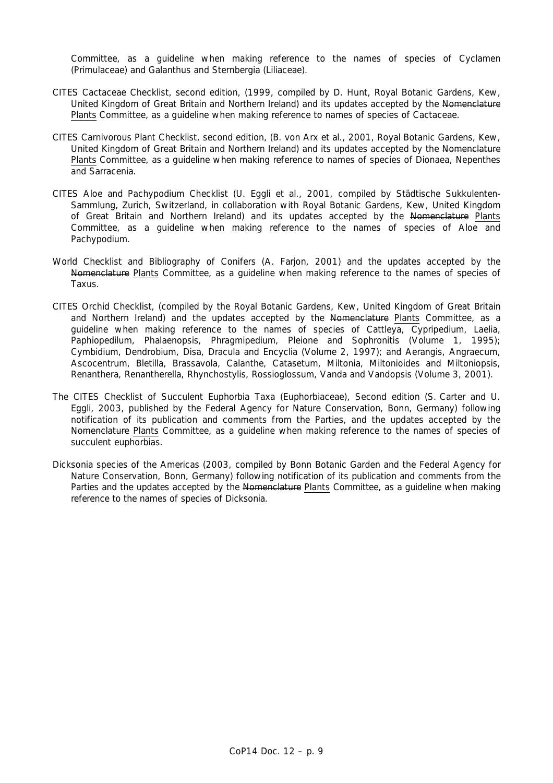Committee, as a guideline when making reference to the names of species of *Cyclamen* (Primulaceae) and *Galanthus* and *Sternbergia* (Liliaceae).

- *CITES Cactaceae Checklist,* second edition, (1999, compiled by D. Hunt, Royal Botanic Gardens, Kew, United Kingdom of Great Britain and Northern Ireland) and its updates accepted by the Nomenclature Plants Committee, as a guideline when making reference to names of species of Cactaceae.
- *CITES Carnivorous Plant Checklist,* second edition, (B. von Arx *et al.*, 2001, Royal Botanic Gardens, Kew, United Kingdom of Great Britain and Northern Ireland) and its updates accepted by the Nomenclature Plants Committee, as a guideline when making reference to names of species of *Dionaea, Nepenthes* and *Sarracenia*.
- *CITES Aloe and Pachypodium Checklist* (U. Eggli *et al.*, 2001, compiled by Städtische Sukkulenten-Sammlung, Zurich, Switzerland, in collaboration with Royal Botanic Gardens, Kew, United Kingdom of Great Britain and Northern Ireland) and its updates accepted by the Nomenclature Plants Committee, as a guideline when making reference to the names of species of *Aloe* and *Pachypodium.*
- *World Checklist and Bibliography of Conifers* (A. Farjon, 2001) and the updates accepted by the Nomenclature Plants Committee, as a guideline when making reference to the names of species of *Taxus.*
- *CITES Orchid Checklist*, (compiled by the Royal Botanic Gardens, Kew, United Kingdom of Great Britain and Northern Ireland) and the updates accepted by the Nomenclature Plants Committee, as a guideline when making reference to the names of species of *Cattleya, Cypripedium, Laelia, Paphiopedilum, Phalaenopsis, Phragmipedium, Pleione* and *Sophronitis* (Volume 1, 1995); *Cymbidium, Dendrobium, Disa, Dracula* and *Encyclia* (Volume 2, 1997); and *Aerangis, Angraecum, Ascocentrum, Bletilla, Brassavola, Calanthe, Catasetum, Miltonia, Miltonioides* and *Miltoniopsis, Renanthera, Renantherella, Rhynchostylis, Rossioglossum, Vanda* and *Vandopsis* (Volume 3, 2001).
- *The CITES Checklist of Succulent Euphorbia Taxa (Euphorbiaceae), Second edition* (S. Carter and U. Eggli, 2003, published by the Federal Agency for Nature Conservation, Bonn, Germany) following notification of its publication and comments from the Parties, and the updates accepted by the Nomenclature Plants Committee, as a guideline when making reference to the names of species of succulent euphorbias.
- *Dicksonia species of the Americas* (2003, compiled by Bonn Botanic Garden and the Federal Agency for Nature Conservation, Bonn, Germany) following notification of its publication and comments from the Parties and the updates accepted by the Nomenclature Plants Committee, as a guideline when making reference to the names of species of *Dicksonia.*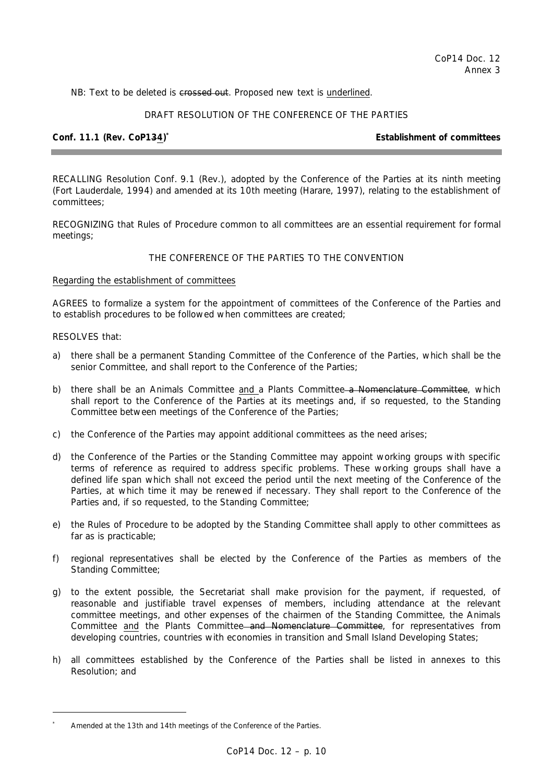NB: Text to be deleted is crossed out. Proposed new text is underlined.

# DRAFT RESOLUTION OF THE CONFERENCE OF THE PARTIES

# **Conf. 11.1 (Rev. CoP134)**

**\* Establishment of committees** 

RECALLING Resolution Conf. 9.1 (Rev.), adopted by the Conference of the Parties at its ninth meeting (Fort Lauderdale, 1994) and amended at its 10th meeting (Harare, 1997), relating to the establishment of committees;

RECOGNIZING that Rules of Procedure common to all committees are an essential requirement for formal meetings;

#### THE CONFERENCE OF THE PARTIES TO THE CONVENTION

#### Regarding the establishment of committees

AGREES to formalize a system for the appointment of committees of the Conference of the Parties and to establish procedures to be followed when committees are created;

#### RESOLVES that:

l

- a) there shall be a permanent Standing Committee of the Conference of the Parties, which shall be the senior Committee, and shall report to the Conference of the Parties;
- b) there shall be an Animals Committee and a Plants Committee a Nomenclature Committee, which shall report to the Conference of the Parties at its meetings and, if so requested, to the Standing Committee between meetings of the Conference of the Parties;
- c) the Conference of the Parties may appoint additional committees as the need arises;
- d) the Conference of the Parties or the Standing Committee may appoint working groups with specific terms of reference as required to address specific problems. These working groups shall have a defined life span which shall not exceed the period until the next meeting of the Conference of the Parties, at which time it may be renewed if necessary. They shall report to the Conference of the Parties and, if so requested, to the Standing Committee;
- e) the Rules of Procedure to be adopted by the Standing Committee shall apply to other committees as far as is practicable;
- f) regional representatives shall be elected by the Conference of the Parties as members of the Standing Committee;
- g) to the extent possible, the Secretariat shall make provision for the payment, if requested, of reasonable and justifiable travel expenses of members, including attendance at the relevant committee meetings, and other expenses of the chairmen of the Standing Committee, the Animals Committee and the Plants Committee and Nomenclature Committee, for representatives from developing countries, countries with economies in transition and Small Island Developing States;
- h) all committees established by the Conference of the Parties shall be listed in annexes to this Resolution; and

*<sup>\*</sup> Amended at the 13th and 14th meetings of the Conference of the Parties.*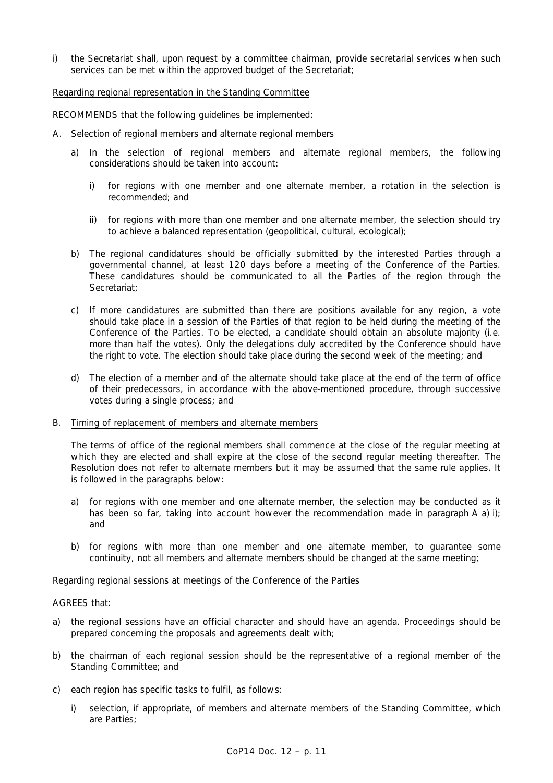i) the Secretariat shall, upon request by a committee chairman, provide secretarial services when such services can be met within the approved budget of the Secretariat;

# Regarding regional representation in the Standing Committee

RECOMMENDS that the following guidelines be implemented:

- A. Selection of regional members and alternate regional members
	- a) In the selection of regional members and alternate regional members, the following considerations should be taken into account:
		- i) for regions with one member and one alternate member, a rotation in the selection is recommended; and
		- ii) for regions with more than one member and one alternate member, the selection should try to achieve a balanced representation (geopolitical, cultural, ecological);
	- b) The regional candidatures should be officially submitted by the interested Parties through a governmental channel, at least 120 days before a meeting of the Conference of the Parties. These candidatures should be communicated to all the Parties of the region through the Secretariat;
	- c) If more candidatures are submitted than there are positions available for any region, a vote should take place in a session of the Parties of that region to be held during the meeting of the Conference of the Parties. To be elected, a candidate should obtain an absolute majority (i.e. more than half the votes). Only the delegations duly accredited by the Conference should have the right to vote. The election should take place during the second week of the meeting; and
	- d) The election of a member and of the alternate should take place at the end of the term of office of their predecessors, in accordance with the above-mentioned procedure, through successive votes during a single process; and

#### B. Timing of replacement of members and alternate members

 The terms of office of the regional members shall commence at the close of the regular meeting at which they are elected and shall expire at the close of the second regular meeting thereafter. The Resolution does not refer to alternate members but it may be assumed that the same rule applies. It is followed in the paragraphs below:

- a) for regions with one member and one alternate member, the selection may be conducted as it has been so far, taking into account however the recommendation made in paragraph A a) i); and
- b) for regions with more than one member and one alternate member, to guarantee some continuity, not all members and alternate members should be changed at the same meeting;

#### Regarding regional sessions at meetings of the Conference of the Parties

#### AGREES that:

- a) the regional sessions have an official character and should have an agenda. Proceedings should be prepared concerning the proposals and agreements dealt with;
- b) the chairman of each regional session should be the representative of a regional member of the Standing Committee; and
- c) each region has specific tasks to fulfil, as follows:
	- i) selection, if appropriate, of members and alternate members of the Standing Committee, which are Parties;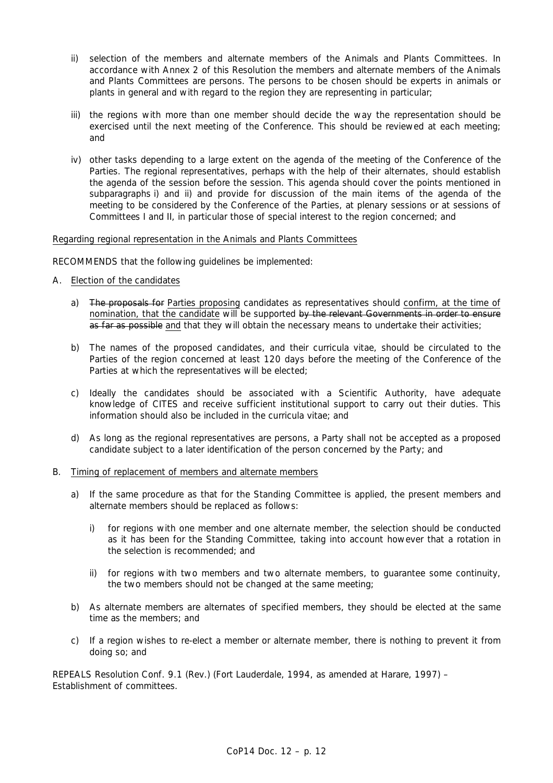- ii) selection of the members and alternate members of the Animals and Plants Committees. In accordance with Annex 2 of this Resolution the members and alternate members of the Animals and Plants Committees are persons. The persons to be chosen should be experts in animals or plants in general and with regard to the region they are representing in particular;
- iii) the regions with more than one member should decide the way the representation should be exercised until the next meeting of the Conference. This should be reviewed at each meeting; and
- iv) other tasks depending to a large extent on the agenda of the meeting of the Conference of the Parties. The regional representatives, perhaps with the help of their alternates, should establish the agenda of the session before the session. This agenda should cover the points mentioned in subparagraphs i) and ii) and provide for discussion of the main items of the agenda of the meeting to be considered by the Conference of the Parties, at plenary sessions or at sessions of Committees I and II, in particular those of special interest to the region concerned; and

# Regarding regional representation in the Animals and Plants Committees

RECOMMENDS that the following guidelines be implemented:

- A. Election of the candidates
	- a) The proposals for Parties proposing candidates as representatives should confirm, at the time of nomination, that the candidate will be supported by the relevant Governments in order to ensure as far as possible and that they will obtain the necessary means to undertake their activities;
	- b) The names of the proposed candidates, and their *curricula vitae*, should be circulated to the Parties of the region concerned at least 120 days before the meeting of the Conference of the Parties at which the representatives will be elected;
	- c) Ideally the candidates should be associated with a Scientific Authority, have adequate knowledge of CITES and receive sufficient institutional support to carry out their duties. This information should also be included in the *curricula vitae;* and
	- d) As long as the regional representatives are persons, a Party shall not be accepted as a proposed candidate subject to a later identification of the person concerned by the Party; and

#### B. Timing of replacement of members and alternate members

- a) If the same procedure as that for the Standing Committee is applied, the present members and alternate members should be replaced as follows:
	- i) for regions with one member and one alternate member, the selection should be conducted as it has been for the Standing Committee, taking into account however that a rotation in the selection is recommended; and
	- ii) for regions with two members and two alternate members, to guarantee some continuity, the two members should not be changed at the same meeting;
- b) As alternate members are alternates of specified members, they should be elected at the same time as the members; and
- c) If a region wishes to re-elect a member or alternate member, there is nothing to prevent it from doing so; and

REPEALS Resolution Conf. 9.1 (Rev.) (Fort Lauderdale, 1994, as amended at Harare, 1997) – Establishment of committees.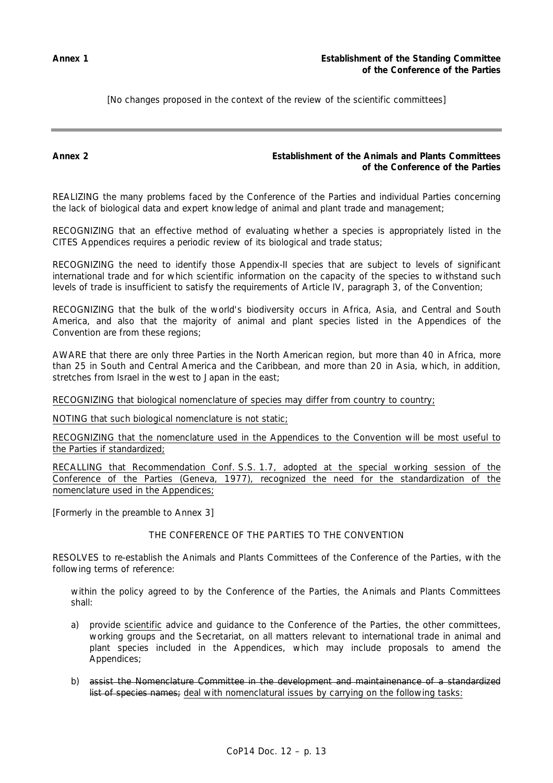[No changes proposed in the context of the review of the scientific committees]

# **Annex 2 Establishment of the Animals and Plants Committees of the Conference of the Parties**

REALIZING the many problems faced by the Conference of the Parties and individual Parties concerning the lack of biological data and expert knowledge of animal and plant trade and management;

RECOGNIZING that an effective method of evaluating whether a species is appropriately listed in the CITES Appendices requires a periodic review of its biological and trade status;

RECOGNIZING the need to identify those Appendix-II species that are subject to levels of significant international trade and for which scientific information on the capacity of the species to withstand such levels of trade is insufficient to satisfy the requirements of Article IV, paragraph 3, of the Convention;

RECOGNIZING that the bulk of the world's biodiversity occurs in Africa, Asia, and Central and South America, and also that the majority of animal and plant species listed in the Appendices of the Convention are from these regions;

AWARE that there are only three Parties in the North American region, but more than 40 in Africa, more than 25 in South and Central America and the Caribbean, and more than 20 in Asia, which, in addition, stretches from Israel in the west to Japan in the east;

RECOGNIZING that biological nomenclature of species may differ from country to country;

NOTING that such biological nomenclature is not static;

RECOGNIZING that the nomenclature used in the Appendices to the Convention will be most useful to the Parties if standardized;

RECALLING that Recommendation Conf. S.S. 1.7, adopted at the special working session of the Conference of the Parties (Geneva, 1977), recognized the need for the standardization of the nomenclature used in the Appendices;

*[Formerly in the preamble to Annex 3]* 

# THE CONFERENCE OF THE PARTIES TO THE CONVENTION

RESOLVES to re-establish the Animals and Plants Committees of the Conference of the Parties, with the following terms of reference:

 within the policy agreed to by the Conference of the Parties, the Animals and Plants Committees shall:

- a) provide scientific advice and guidance to the Conference of the Parties, the other committees, working groups and the Secretariat, on all matters relevant to international trade in animal and plant species included in the Appendices, which may include proposals to amend the Appendices;
- b) assist the Nomenclature Committee in the development and maintainenance of a standardized list of species names; deal with nomenclatural issues by carrying on the following tasks: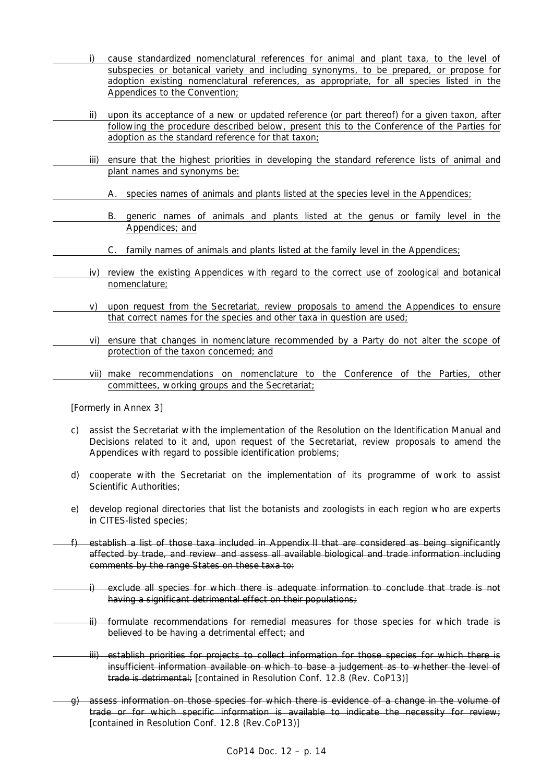- i) cause standardized nomenclatural references for animal and plant taxa, to the level of subspecies or botanical variety and including synonyms, to be prepared, or propose for adoption existing nomenclatural references, as appropriate, for all species listed in the Appendices to the Convention;
- ii) upon its acceptance of a new or updated reference (or part thereof) for a given taxon, after following the procedure described below, present this to the Conference of the Parties for adoption as the standard reference for that taxon;
- iii) ensure that the highest priorities in developing the standard reference lists of animal and plant names and synonyms be:
- A. species names of animals and plants listed at the species level in the Appendices;
	- B. generic names of animals and plants listed at the genus or family level in the Appendices; and
	- C. family names of animals and plants listed at the family level in the Appendices;
	- iv) review the existing Appendices with regard to the correct use of zoological and botanical nomenclature;
	- v) upon request from the Secretariat, review proposals to amend the Appendices to ensure that correct names for the species and other taxa in question are used;
	- vi) ensure that changes in nomenclature recommended by a Party do not alter the scope of protection of the taxon concerned; and
	- vii) make recommendations on nomenclature to the Conference of the Parties, other committees, working groups and the Secretariat;

# *[Formerly in Annex 3]*

- c) assist the Secretariat with the implementation of the Resolution on the Identification Manual and Decisions related to it and, upon request of the Secretariat, review proposals to amend the Appendices with regard to possible identification problems;
- d) cooperate with the Secretariat on the implementation of its programme of work to assist Scientific Authorities;
- e) develop regional directories that list the botanists and zoologists in each region who are experts in CITES-listed species;
- f) establish a list of those taxa included in Appendix II that are considered as being significantly affected by trade, and review and assess all available biological and trade information including comments by the range States on these taxa to:
	- exclude all species for which there is adequate information to conclude that trade is not having a significant detrimental effect on their populations;
	- ii) formulate recommendations for remedial measures for those species for which trade is believed to be having a detrimental effect; and
	- iii) establish priorities for projects to collect information for those species for which there is insufficient information available on which to base a judgement as to whether the level of trade is detrimental; *[contained in Resolution Conf. 12.8 (Rev. CoP13)]*
- assess information on those species for which there is evidence of a change in the volume of trade or for which specific information is available to indicate the necessity for review; *[contained in Resolution Conf. 12.8 (Rev.CoP13)]*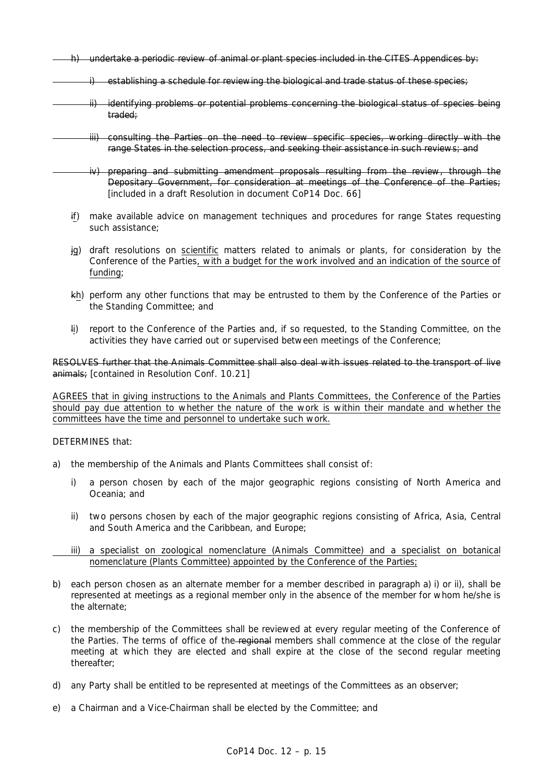- undertake a periodic review of animal or plant species included in the CITES Appendices by:
	- establishing a schedule for reviewing the biological and trade status of these species;
		- ii) identifying problems or potential problems concerning the biological status of species being traded;
			- iii) consulting the Parties on the need to review specific species, working directly with the range States in the selection process, and seeking their assistance in such reviews; and
			- iv) preparing and submitting amendment proposals resulting from the review, through the Depositary Government, for consideration at meetings of the Conference of the Parties; *[included in a draft Resolution in document CoP14 Doc. 66]*
	- if) make available advice on management techniques and procedures for range States requesting such assistance;
	- jg) draft resolutions on scientific matters related to animals or plants, for consideration by the Conference of the Parties, with a budget for the work involved and an indication of the source of funding;
	- kh) perform any other functions that may be entrusted to them by the Conference of the Parties or the Standing Committee; and
	- li) report to the Conference of the Parties and, if so requested, to the Standing Committee, on the activities they have carried out or supervised between meetings of the Conference;

RESOLVES further that the Animals Committee shall also deal with issues related to the transport of live animals; *[contained in Resolution Conf. 10.21]*

AGREES that in giving instructions to the Animals and Plants Committees, the Conference of the Parties should pay due attention to whether the nature of the work is within their mandate and whether the committees have the time and personnel to undertake such work.

DETERMINES that:

- a) the membership of the Animals and Plants Committees shall consist of:
	- i) a person chosen by each of the major geographic regions consisting of North America and Oceania; and
	- ii) two persons chosen by each of the major geographic regions consisting of Africa, Asia, Central and South America and the Caribbean, and Europe;
	- iii) a specialist on zoological nomenclature (Animals Committee) and a specialist on botanical nomenclature (Plants Committee) appointed by the Conference of the Parties;
- b) each person chosen as an alternate member for a member described in paragraph a) i) or ii), shall be represented at meetings as a regional member only in the absence of the member for whom he/she is the alternate;
- c) the membership of the Committees shall be reviewed at every regular meeting of the Conference of the Parties. The terms of office of the regional members shall commence at the close of the regular meeting at which they are elected and shall expire at the close of the second regular meeting thereafter;
- d) any Party shall be entitled to be represented at meetings of the Committees as an observer;
- e) a Chairman and a Vice-Chairman shall be elected by the Committee; and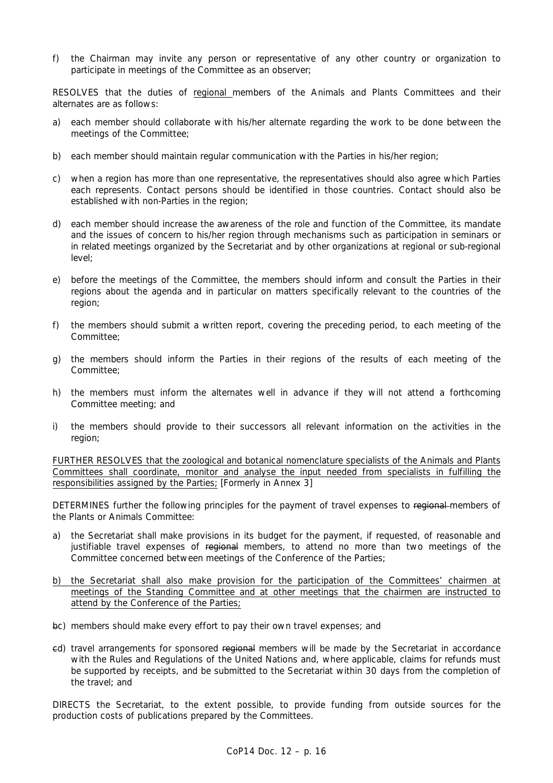f) the Chairman may invite any person or representative of any other country or organization to participate in meetings of the Committee as an observer;

RESOLVES that the duties of regional members of the Animals and Plants Committees and their alternates are as follows:

- a) each member should collaborate with his/her alternate regarding the work to be done between the meetings of the Committee;
- b) each member should maintain regular communication with the Parties in his/her region;
- c) when a region has more than one representative, the representatives should also agree which Parties each represents. Contact persons should be identified in those countries. Contact should also be established with non-Parties in the region;
- d) each member should increase the awareness of the role and function of the Committee, its mandate and the issues of concern to his/her region through mechanisms such as participation in seminars or in related meetings organized by the Secretariat and by other organizations at regional or sub-regional level;
- e) before the meetings of the Committee, the members should inform and consult the Parties in their regions about the agenda and in particular on matters specifically relevant to the countries of the region;
- f) the members should submit a written report, covering the preceding period, to each meeting of the Committee;
- g) the members should inform the Parties in their regions of the results of each meeting of the Committee;
- h) the members must inform the alternates well in advance if they will not attend a forthcoming Committee meeting; and
- i) the members should provide to their successors all relevant information on the activities in the region;

FURTHER RESOLVES that the zoological and botanical nomenclature specialists of the Animals and Plants Committees shall coordinate, monitor and analyse the input needed from specialists in fulfilling the responsibilities assigned by the Parties; *[Formerly in Annex 3]*

DETERMINES further the following principles for the payment of travel expenses to regional members of the Plants or Animals Committee:

- a) the Secretariat shall make provisions in its budget for the payment, if requested, of reasonable and justifiable travel expenses of regional members, to attend no more than two meetings of the Committee concerned between meetings of the Conference of the Parties;
- b) the Secretariat shall also make provision for the participation of the Committees' chairmen at meetings of the Standing Committee and at other meetings that the chairmen are instructed to attend by the Conference of the Parties;
- bc) members should make every effort to pay their own travel expenses; and
- ed) travel arrangements for sponsored regional members will be made by the Secretariat in accordance with the Rules and Regulations of the United Nations and, where applicable, claims for refunds must be supported by receipts, and be submitted to the Secretariat within 30 days from the completion of the travel; and

DIRECTS the Secretariat, to the extent possible, to provide funding from outside sources for the production costs of publications prepared by the Committees.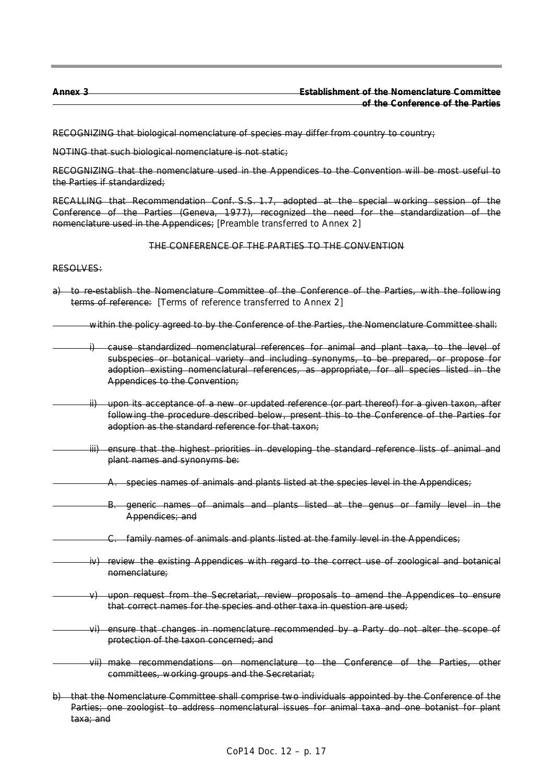| Annex 3 | <b>Establishment of the Nomenclature Committee</b>                             |
|---------|--------------------------------------------------------------------------------|
|         | of the Conference of the Darties<br><del>or the comerchee or the railles</del> |

RECOGNIZING that biological nomenclature of species may differ from country to country;

NOTING that such biological nomenclature is not static;

RECOGNIZING that the nomenclature used in the Appendices to the Convention will be most useful to the Parties if standardized;

RECALLING that Recommendation Conf. S.S. 1.7, adopted at the special working session of the Conference of the Parties (Geneva, 1977), recognized the need for the standardization of the nomenclature used in the Appendices; *[Preamble transferred to Annex 2]*

# THE CONFERENCE OF THE PARTIES TO THE CONVENTION

### RESOLVES:

- a) to re-establish the Nomenclature Committee of the Conference of the Parties, with the following terms of reference: *[Terms of reference transferred to Annex 2]*
	- within the policy agreed to by the Conference of the Parties, the Nomenclature Committee shall:
	- cause standardized nomenclatural references for animal and plant taxa, to the level of subspecies or botanical variety and including synonyms, to be prepared, or propose for adoption existing nomenclatural references, as appropriate, for all species listed in the Appendices to the Convention;
		- ii) upon its acceptance of a new or updated reference (or part thereof) for a given taxon, after following the procedure described below, present this to the Conference of the Parties for adoption as the standard reference for that taxon;
	- iii) ensure that the highest priorities in developing the standard reference lists of animal and plant names and synonyms be:
		- A. species names of animals and plants listed at the species level in the Appendices;
		- B. generic names of animals and plants listed at the genus or family level in the Appendices; and
		- C. family names of animals and plants listed at the family level in the Appendices;
		- iv) review the existing Appendices with regard to the correct use of zoological and botanical nomenclature;
		- upon request from the Secretariat, review proposals to amend the Appendices to ensure that correct names for the species and other taxa in question are used;
		- vi) ensure that changes in nomenclature recommended by a Party do not alter the scope of protection of the taxon concerned; and
		- vii) make recommendations on nomenclature to the Conference of the Parties, other committees, working groups and the Secretariat;
- b) that the Nomenclature Committee shall comprise two individuals appointed by the Conference of the Parties; one zoologist to address nomenclatural issues for animal taxa and one botanist for plant taxa; and